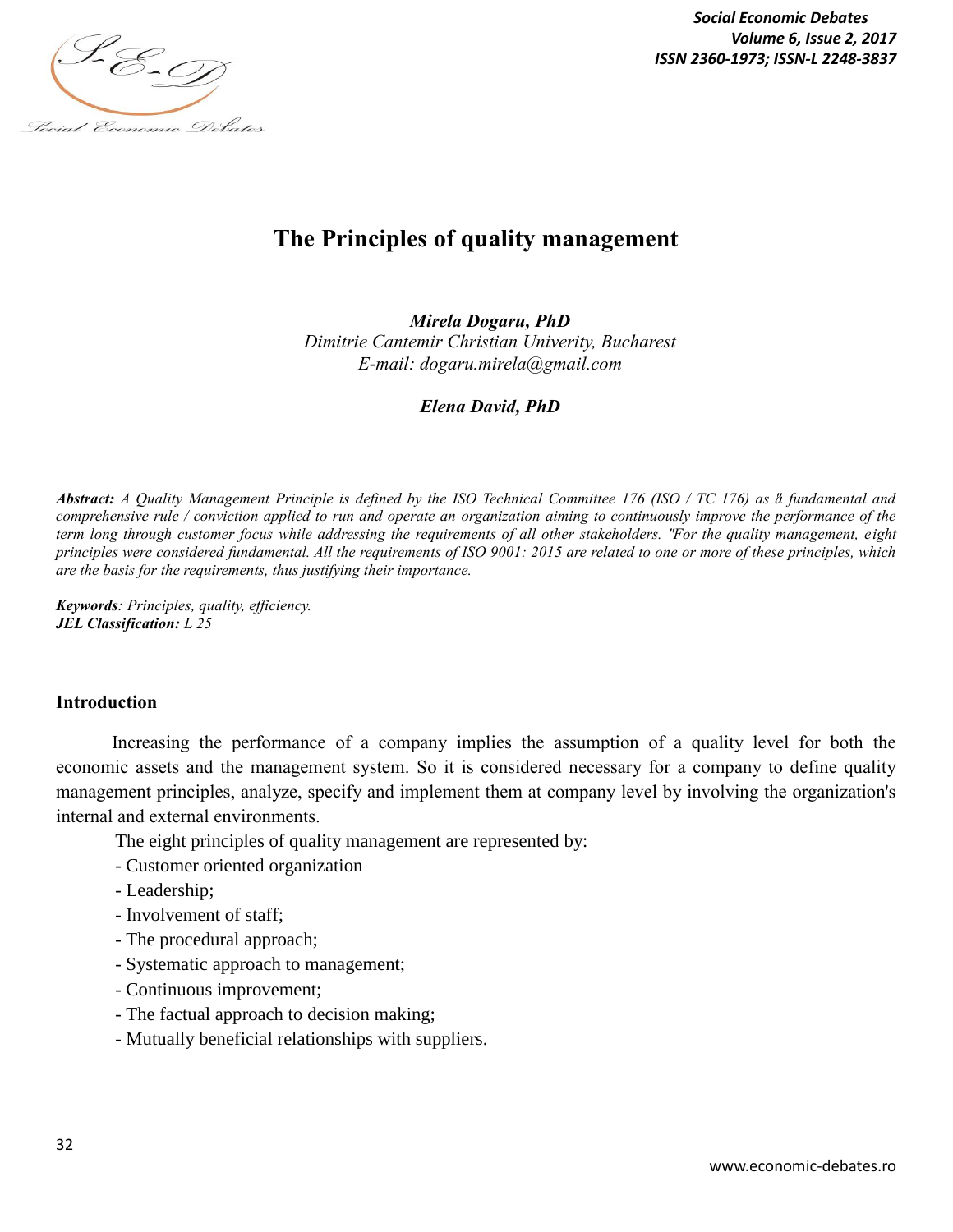

*Social Economic Debates Volume 6, Issue 2, 2017*

# **The Principles of quality management**

*Mirela Dogaru, PhD Dimitrie Cantemir Christian Univerity, Bucharest E-mail: dogaru.mirela@gmail.com*

*Elena David, PhD*

*Abstract: A Quality Management Principle is defined by the ISO Technical Committee 176 (ISO / TC 176) as "a fundamental and comprehensive rule / conviction applied to run and operate an organization aiming to continuously improve the performance of the term long through customer focus while addressing the requirements of all other stakeholders. " For the quality management, eight principles were considered fundamental. All the requirements of ISO 9001: 2015 are related to one or more of these principles, which are the basis for the requirements, thus justifying their importance.*

*Keywords: Principles, quality, efficiency. JEL Classification: L 25*

#### **Introduction**

Increasing the performance of a company implies the assumption of a quality level for both the economic assets and the management system. So it is considered necessary for a company to define quality management principles, analyze, specify and implement them at company level by involving the organization's internal and external environments.

The eight principles of quality management are represented by:

- Customer oriented organization
- Leadership;
- Involvement of staff;
- The procedural approach;
- Systematic approach to management;
- Continuous improvement;
- The factual approach to decision making;
- Mutually beneficial relationships with suppliers.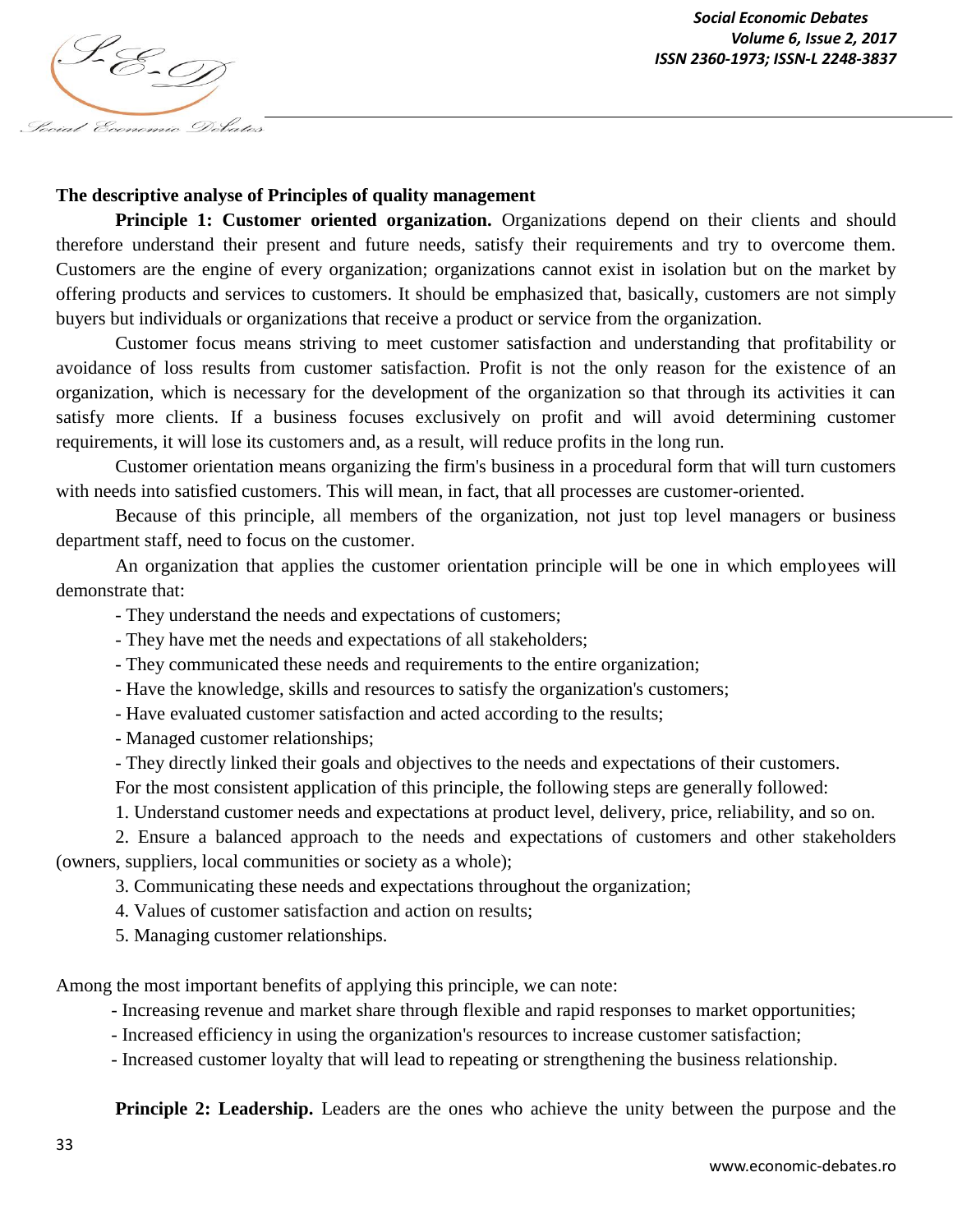

*Social Economic Debates Volume 6, Issue 2, 2017*

#### **The descriptive analyse of Principles of quality management**

**Principle 1: Customer oriented organization.** Organizations depend on their clients and should therefore understand their present and future needs, satisfy their requirements and try to overcome them. Customers are the engine of every organization; organizations cannot exist in isolation but on the market by offering products and services to customers. It should be emphasized that, basically, customers are not simply buyers but individuals or organizations that receive a product or service from the organization.

Customer focus means striving to meet customer satisfaction and understanding that profitability or avoidance of loss results from customer satisfaction. Profit is not the only reason for the existence of an organization, which is necessary for the development of the organization so that through its activities it can satisfy more clients. If a business focuses exclusively on profit and will avoid determining customer requirements, it will lose its customers and, as a result, will reduce profits in the long run.

Customer orientation means organizing the firm's business in a procedural form that will turn customers with needs into satisfied customers. This will mean, in fact, that all processes are customer-oriented.

Because of this principle, all members of the organization, not just top level managers or business department staff, need to focus on the customer.

An organization that applies the customer orientation principle will be one in which employees will demonstrate that:

- They understand the needs and expectations of customers;

- They have met the needs and expectations of all stakeholders;

- They communicated these needs and requirements to the entire organization;

- Have the knowledge, skills and resources to satisfy the organization's customers;
- Have evaluated customer satisfaction and acted according to the results;

- Managed customer relationships;

- They directly linked their goals and objectives to the needs and expectations of their customers.

For the most consistent application of this principle, the following steps are generally followed:

1. Understand customer needs and expectations at product level, delivery, price, reliability, and so on.

2. Ensure a balanced approach to the needs and expectations of customers and other stakeholders (owners, suppliers, local communities or society as a whole);

3. Communicating these needs and expectations throughout the organization;

4. Values of customer satisfaction and action on results;

5. Managing customer relationships.

Among the most important benefits of applying this principle, we can note:

- Increasing revenue and market share through flexible and rapid responses to market opportunities;

- Increased efficiency in using the organization's resources to increase customer satisfaction;

- Increased customer loyalty that will lead to repeating or strengthening the business relationship.

**Principle 2: Leadership.** Leaders are the ones who achieve the unity between the purpose and the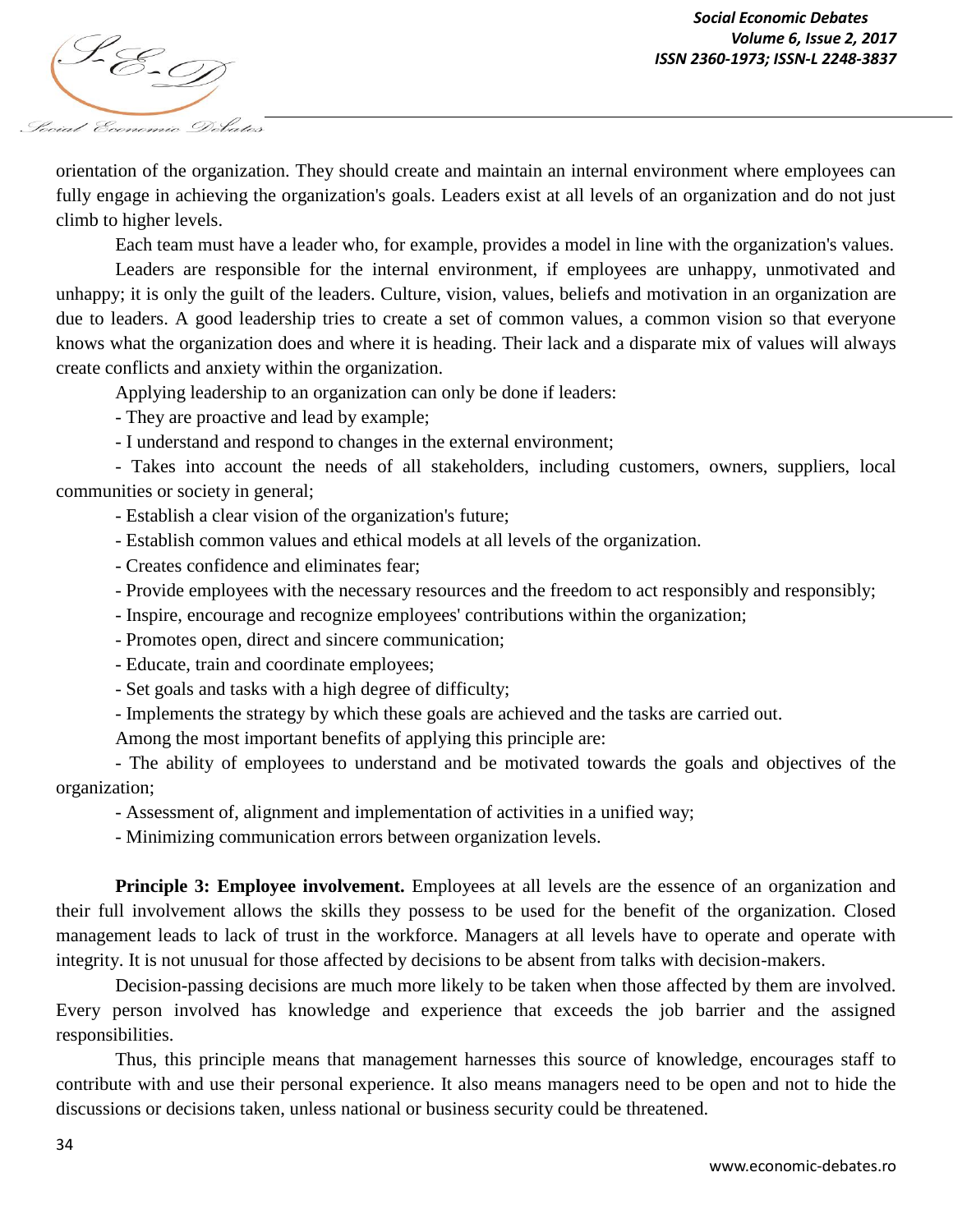

orientation of the organization. They should create and maintain an internal environment where employees can fully engage in achieving the organization's goals. Leaders exist at all levels of an organization and do not just climb to higher levels.

Each team must have a leader who, for example, provides a model in line with the organization's values.

Leaders are responsible for the internal environment, if employees are unhappy, unmotivated and unhappy; it is only the guilt of the leaders. Culture, vision, values, beliefs and motivation in an organization are due to leaders. A good leadership tries to create a set of common values, a common vision so that everyone knows what the organization does and where it is heading. Their lack and a disparate mix of values will always create conflicts and anxiety within the organization.

Applying leadership to an organization can only be done if leaders:

- They are proactive and lead by example;

- I understand and respond to changes in the external environment;

- Takes into account the needs of all stakeholders, including customers, owners, suppliers, local communities or society in general;

- Establish a clear vision of the organization's future;

- Establish common values and ethical models at all levels of the organization.
- Creates confidence and eliminates fear;
- Provide employees with the necessary resources and the freedom to act responsibly and responsibly;
- Inspire, encourage and recognize employees' contributions within the organization;
- Promotes open, direct and sincere communication;

- Educate, train and coordinate employees;

- Set goals and tasks with a high degree of difficulty;

- Implements the strategy by which these goals are achieved and the tasks are carried out.

Among the most important benefits of applying this principle are:

- The ability of employees to understand and be motivated towards the goals and objectives of the organization;

- Assessment of, alignment and implementation of activities in a unified way;

- Minimizing communication errors between organization levels.

**Principle 3: Employee involvement.** Employees at all levels are the essence of an organization and their full involvement allows the skills they possess to be used for the benefit of the organization. Closed management leads to lack of trust in the workforce. Managers at all levels have to operate and operate with integrity. It is not unusual for those affected by decisions to be absent from talks with decision-makers.

Decision-passing decisions are much more likely to be taken when those affected by them are involved. Every person involved has knowledge and experience that exceeds the job barrier and the assigned responsibilities.

Thus, this principle means that management harnesses this source of knowledge, encourages staff to contribute with and use their personal experience. It also means managers need to be open and not to hide the discussions or decisions taken, unless national or business security could be threatened.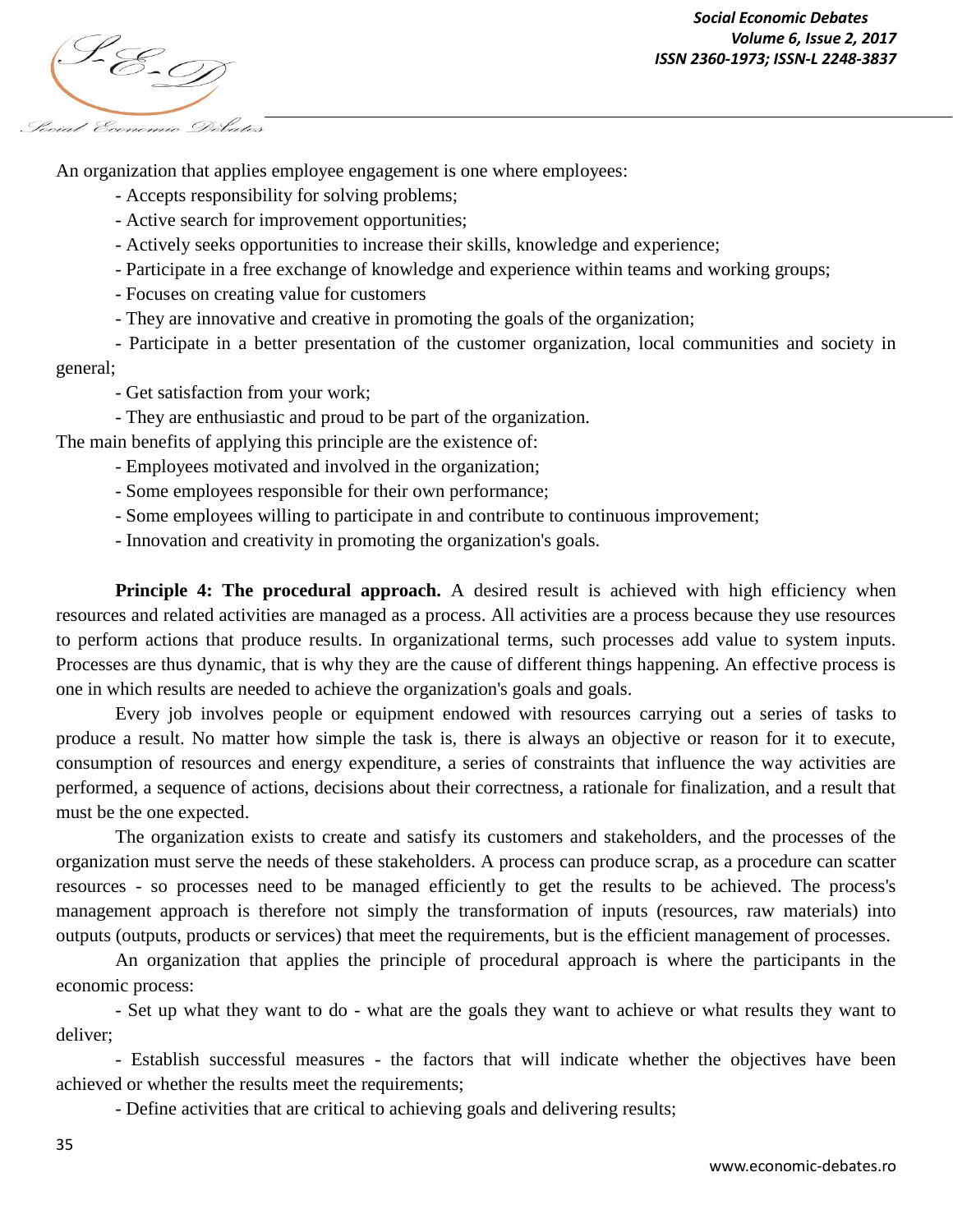

An organization that applies employee engagement is one where employees:

- Accepts responsibility for solving problems;
- Active search for improvement opportunities;
- Actively seeks opportunities to increase their skills, knowledge and experience;
- Participate in a free exchange of knowledge and experience within teams and working groups;
- Focuses on creating value for customers
- They are innovative and creative in promoting the goals of the organization;

- Participate in a better presentation of the customer organization, local communities and society in general;

- Get satisfaction from your work;

- They are enthusiastic and proud to be part of the organization.

The main benefits of applying this principle are the existence of:

- Employees motivated and involved in the organization;
- Some employees responsible for their own performance;
- Some employees willing to participate in and contribute to continuous improvement;
- Innovation and creativity in promoting the organization's goals.

**Principle 4: The procedural approach.** A desired result is achieved with high efficiency when resources and related activities are managed as a process. All activities are a process because they use resources to perform actions that produce results. In organizational terms, such processes add value to system inputs. Processes are thus dynamic, that is why they are the cause of different things happening. An effective process is one in which results are needed to achieve the organization's goals and goals.

Every job involves people or equipment endowed with resources carrying out a series of tasks to produce a result. No matter how simple the task is, there is always an objective or reason for it to execute, consumption of resources and energy expenditure, a series of constraints that influence the way activities are performed, a sequence of actions, decisions about their correctness, a rationale for finalization, and a result that must be the one expected.

The organization exists to create and satisfy its customers and stakeholders, and the processes of the organization must serve the needs of these stakeholders. A process can produce scrap, as a procedure can scatter resources - so processes need to be managed efficiently to get the results to be achieved. The process's management approach is therefore not simply the transformation of inputs (resources, raw materials) into outputs (outputs, products or services) that meet the requirements, but is the efficient management of processes.

An organization that applies the principle of procedural approach is where the participants in the economic process:

- Set up what they want to do - what are the goals they want to achieve or what results they want to deliver;

- Establish successful measures - the factors that will indicate whether the objectives have been achieved or whether the results meet the requirements;

- Define activities that are critical to achieving goals and delivering results;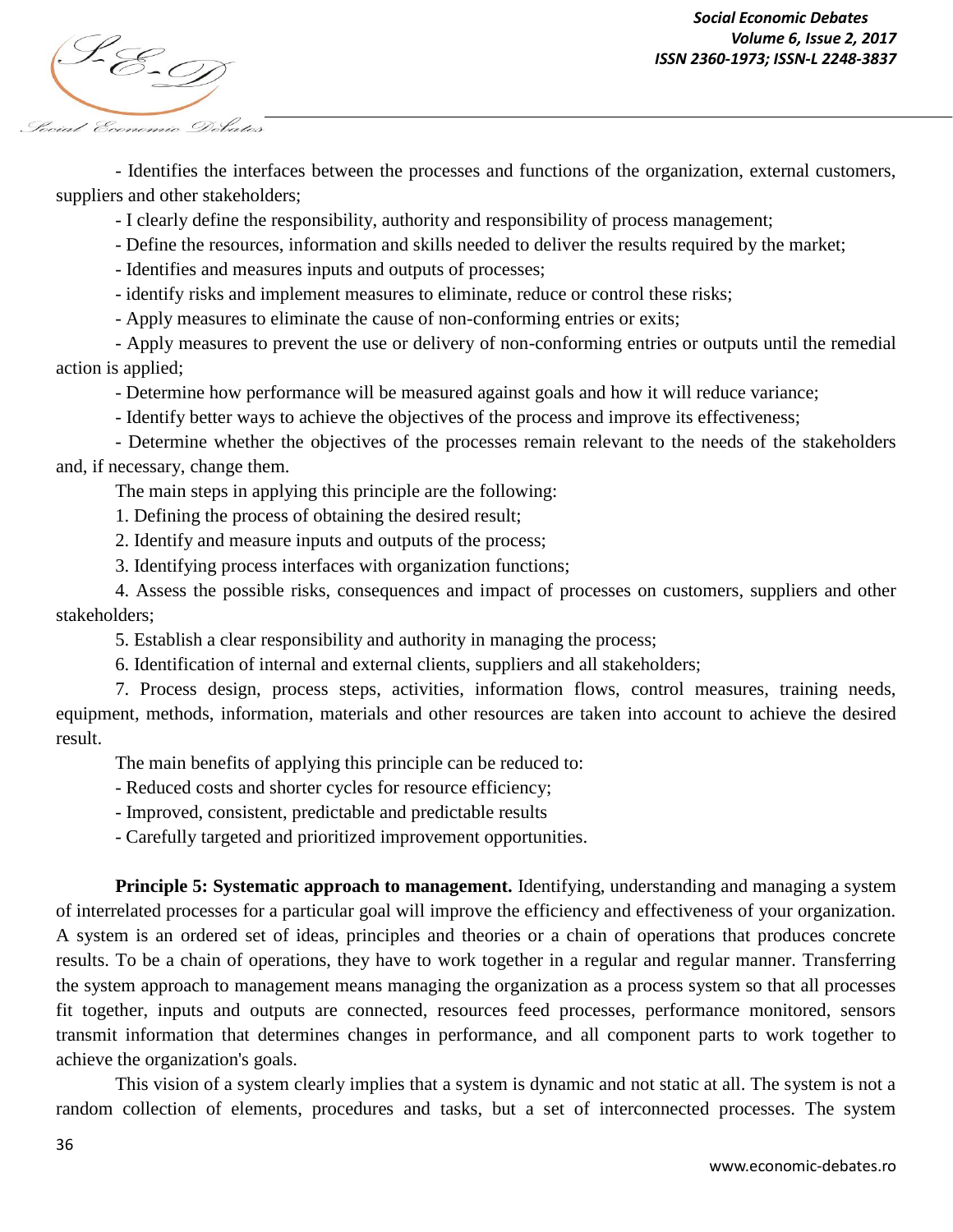

- Identifies the interfaces between the processes and functions of the organization, external customers, suppliers and other stakeholders;

- I clearly define the responsibility, authority and responsibility of process management;

- Define the resources, information and skills needed to deliver the results required by the market;

- Identifies and measures inputs and outputs of processes;

- identify risks and implement measures to eliminate, reduce or control these risks;

- Apply measures to eliminate the cause of non-conforming entries or exits;

- Apply measures to prevent the use or delivery of non-conforming entries or outputs until the remedial action is applied;

- Determine how performance will be measured against goals and how it will reduce variance;

- Identify better ways to achieve the objectives of the process and improve its effectiveness;

- Determine whether the objectives of the processes remain relevant to the needs of the stakeholders and, if necessary, change them.

The main steps in applying this principle are the following:

1. Defining the process of obtaining the desired result;

2. Identify and measure inputs and outputs of the process;

3. Identifying process interfaces with organization functions;

4. Assess the possible risks, consequences and impact of processes on customers, suppliers and other stakeholders;

5. Establish a clear responsibility and authority in managing the process;

6. Identification of internal and external clients, suppliers and all stakeholders;

7. Process design, process steps, activities, information flows, control measures, training needs, equipment, methods, information, materials and other resources are taken into account to achieve the desired result.

The main benefits of applying this principle can be reduced to:

- Reduced costs and shorter cycles for resource efficiency;

- Improved, consistent, predictable and predictable results

- Carefully targeted and prioritized improvement opportunities.

**Principle 5: Systematic approach to management.** Identifying, understanding and managing a system of interrelated processes for a particular goal will improve the efficiency and effectiveness of your organization. A system is an ordered set of ideas, principles and theories or a chain of operations that produces concrete results. To be a chain of operations, they have to work together in a regular and regular manner. Transferring the system approach to management means managing the organization as a process system so that all processes fit together, inputs and outputs are connected, resources feed processes, performance monitored, sensors transmit information that determines changes in performance, and all component parts to work together to achieve the organization's goals.

This vision of a system clearly implies that a system is dynamic and not static at all. The system is not a random collection of elements, procedures and tasks, but a set of interconnected processes. The system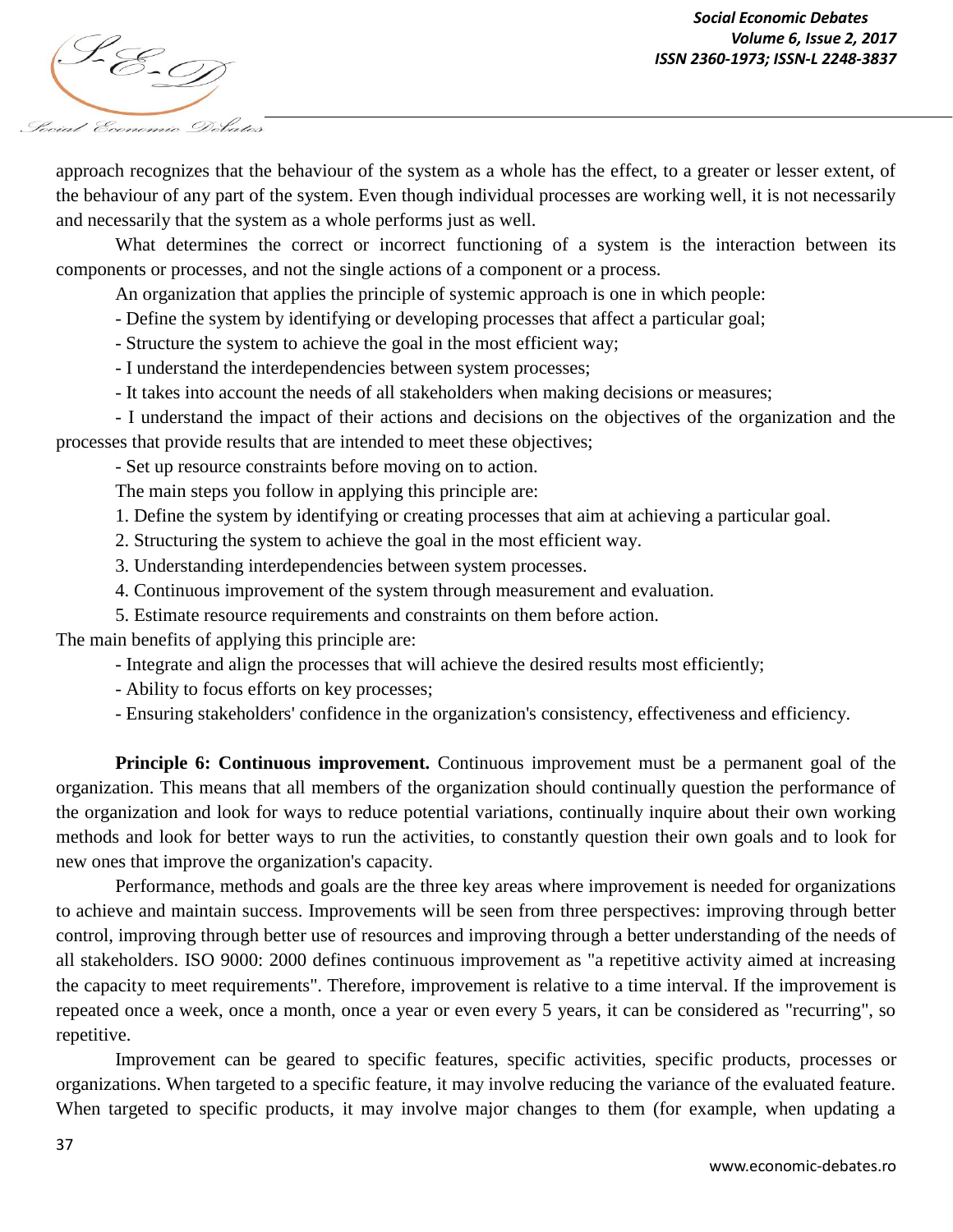

approach recognizes that the behaviour of the system as a whole has the effect, to a greater or lesser extent, of the behaviour of any part of the system. Even though individual processes are working well, it is not necessarily and necessarily that the system as a whole performs just as well.

What determines the correct or incorrect functioning of a system is the interaction between its components or processes, and not the single actions of a component or a process.

An organization that applies the principle of systemic approach is one in which people:

- Define the system by identifying or developing processes that affect a particular goal;

- Structure the system to achieve the goal in the most efficient way;

- I understand the interdependencies between system processes;

- It takes into account the needs of all stakeholders when making decisions or measures;

- I understand the impact of their actions and decisions on the objectives of the organization and the processes that provide results that are intended to meet these objectives;

- Set up resource constraints before moving on to action.

The main steps you follow in applying this principle are:

1. Define the system by identifying or creating processes that aim at achieving a particular goal.

2. Structuring the system to achieve the goal in the most efficient way.

3. Understanding interdependencies between system processes.

4. Continuous improvement of the system through measurement and evaluation.

5. Estimate resource requirements and constraints on them before action.

The main benefits of applying this principle are:

- Integrate and align the processes that will achieve the desired results most efficiently;

- Ability to focus efforts on key processes;

- Ensuring stakeholders' confidence in the organization's consistency, effectiveness and efficiency.

**Principle 6: Continuous improvement.** Continuous improvement must be a permanent goal of the organization. This means that all members of the organization should continually question the performance of the organization and look for ways to reduce potential variations, continually inquire about their own working methods and look for better ways to run the activities, to constantly question their own goals and to look for new ones that improve the organization's capacity.

Performance, methods and goals are the three key areas where improvement is needed for organizations to achieve and maintain success. Improvements will be seen from three perspectives: improving through better control, improving through better use of resources and improving through a better understanding of the needs of all stakeholders. ISO 9000: 2000 defines continuous improvement as "a repetitive activity aimed at increasing the capacity to meet requirements". Therefore, improvement is relative to a time interval. If the improvement is repeated once a week, once a month, once a year or even every 5 years, it can be considered as "recurring", so repetitive.

Improvement can be geared to specific features, specific activities, specific products, processes or organizations. When targeted to a specific feature, it may involve reducing the variance of the evaluated feature. When targeted to specific products, it may involve major changes to them (for example, when updating a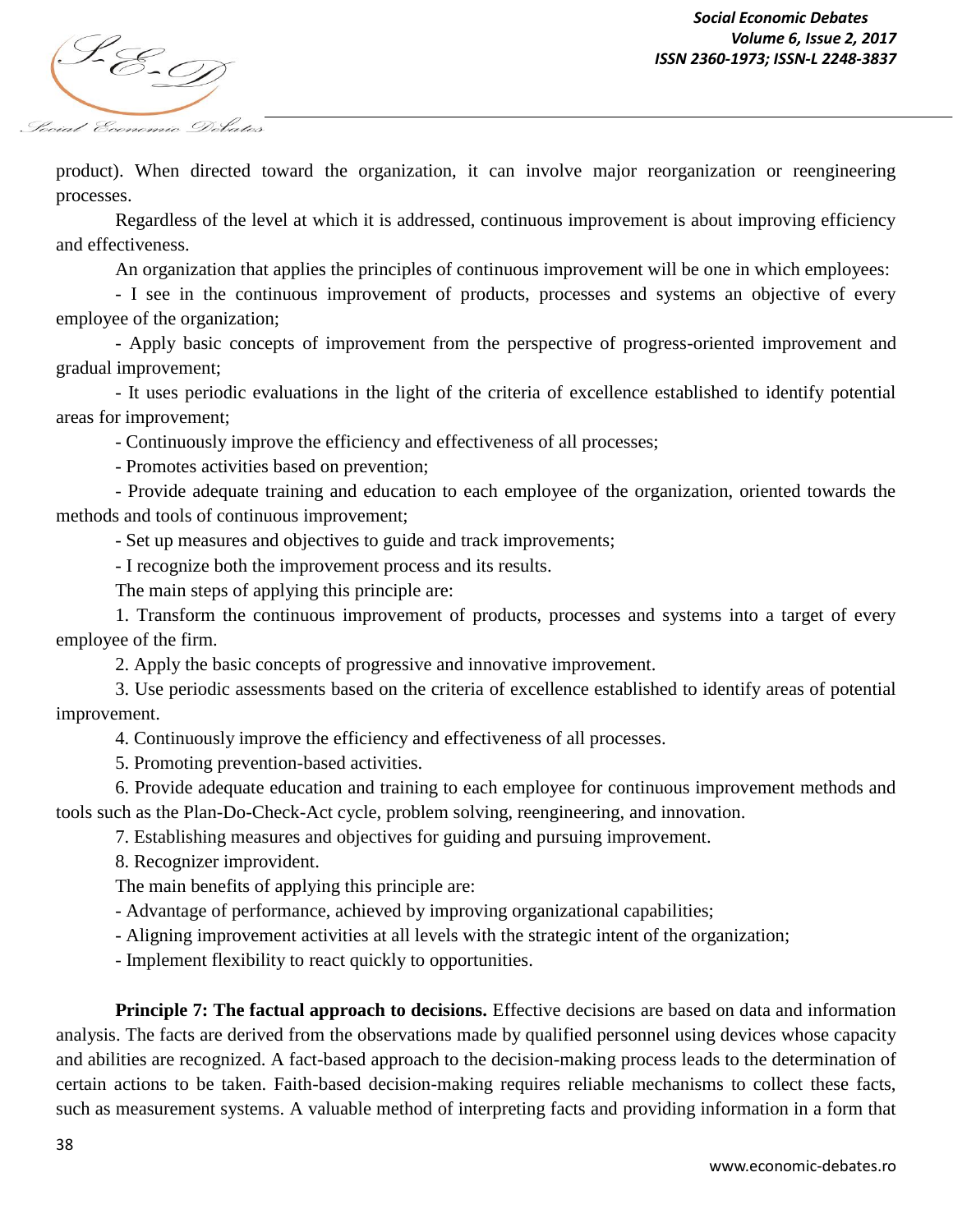

product). When directed toward the organization, it can involve major reorganization or reengineering processes.

Regardless of the level at which it is addressed, continuous improvement is about improving efficiency and effectiveness.

An organization that applies the principles of continuous improvement will be one in which employees:

- I see in the continuous improvement of products, processes and systems an objective of every employee of the organization;

- Apply basic concepts of improvement from the perspective of progress-oriented improvement and gradual improvement;

- It uses periodic evaluations in the light of the criteria of excellence established to identify potential areas for improvement;

- Continuously improve the efficiency and effectiveness of all processes;

- Promotes activities based on prevention;

- Provide adequate training and education to each employee of the organization, oriented towards the methods and tools of continuous improvement;

- Set up measures and objectives to guide and track improvements;

- I recognize both the improvement process and its results.

The main steps of applying this principle are:

1. Transform the continuous improvement of products, processes and systems into a target of every employee of the firm.

2. Apply the basic concepts of progressive and innovative improvement.

3. Use periodic assessments based on the criteria of excellence established to identify areas of potential improvement.

4. Continuously improve the efficiency and effectiveness of all processes.

5. Promoting prevention-based activities.

6. Provide adequate education and training to each employee for continuous improvement methods and tools such as the Plan-Do-Check-Act cycle, problem solving, reengineering, and innovation.

7. Establishing measures and objectives for guiding and pursuing improvement.

8. Recognizer improvident.

The main benefits of applying this principle are:

- Advantage of performance, achieved by improving organizational capabilities;

- Aligning improvement activities at all levels with the strategic intent of the organization;

- Implement flexibility to react quickly to opportunities.

**Principle 7: The factual approach to decisions.** Effective decisions are based on data and information analysis. The facts are derived from the observations made by qualified personnel using devices whose capacity and abilities are recognized. A fact-based approach to the decision-making process leads to the determination of certain actions to be taken. Faith-based decision-making requires reliable mechanisms to collect these facts, such as measurement systems. A valuable method of interpreting facts and providing information in a form that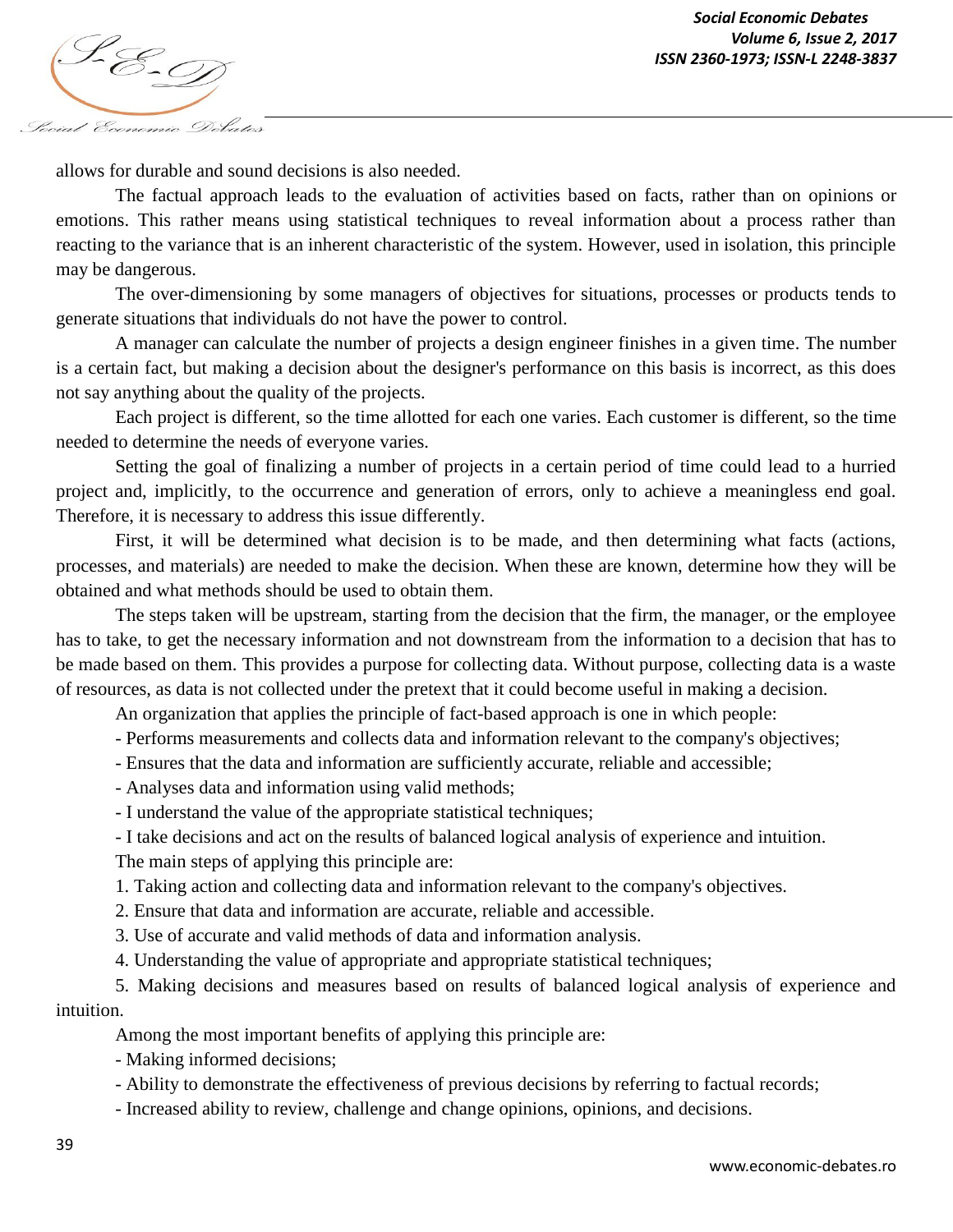*ISSN 2360-1973; ISSN-L 2248-3837* Social Economic Debates

allows for durable and sound decisions is also needed.

The factual approach leads to the evaluation of activities based on facts, rather than on opinions or emotions. This rather means using statistical techniques to reveal information about a process rather than reacting to the variance that is an inherent characteristic of the system. However, used in isolation, this principle may be dangerous.

The over-dimensioning by some managers of objectives for situations, processes or products tends to generate situations that individuals do not have the power to control.

A manager can calculate the number of projects a design engineer finishes in a given time. The number is a certain fact, but making a decision about the designer's performance on this basis is incorrect, as this does not say anything about the quality of the projects.

Each project is different, so the time allotted for each one varies. Each customer is different, so the time needed to determine the needs of everyone varies.

Setting the goal of finalizing a number of projects in a certain period of time could lead to a hurried project and, implicitly, to the occurrence and generation of errors, only to achieve a meaningless end goal. Therefore, it is necessary to address this issue differently.

First, it will be determined what decision is to be made, and then determining what facts (actions, processes, and materials) are needed to make the decision. When these are known, determine how they will be obtained and what methods should be used to obtain them.

The steps taken will be upstream, starting from the decision that the firm, the manager, or the employee has to take, to get the necessary information and not downstream from the information to a decision that has to be made based on them. This provides a purpose for collecting data. Without purpose, collecting data is a waste of resources, as data is not collected under the pretext that it could become useful in making a decision.

An organization that applies the principle of fact-based approach is one in which people:

- Performs measurements and collects data and information relevant to the company's objectives;
- Ensures that the data and information are sufficiently accurate, reliable and accessible;
- Analyses data and information using valid methods;
- I understand the value of the appropriate statistical techniques;

- I take decisions and act on the results of balanced logical analysis of experience and intuition.

The main steps of applying this principle are:

1. Taking action and collecting data and information relevant to the company's objectives.

- 2. Ensure that data and information are accurate, reliable and accessible.
- 3. Use of accurate and valid methods of data and information analysis.
- 4. Understanding the value of appropriate and appropriate statistical techniques;

5. Making decisions and measures based on results of balanced logical analysis of experience and intuition.

Among the most important benefits of applying this principle are:

- Making informed decisions;

- Ability to demonstrate the effectiveness of previous decisions by referring to factual records;

- Increased ability to review, challenge and change opinions, opinions, and decisions.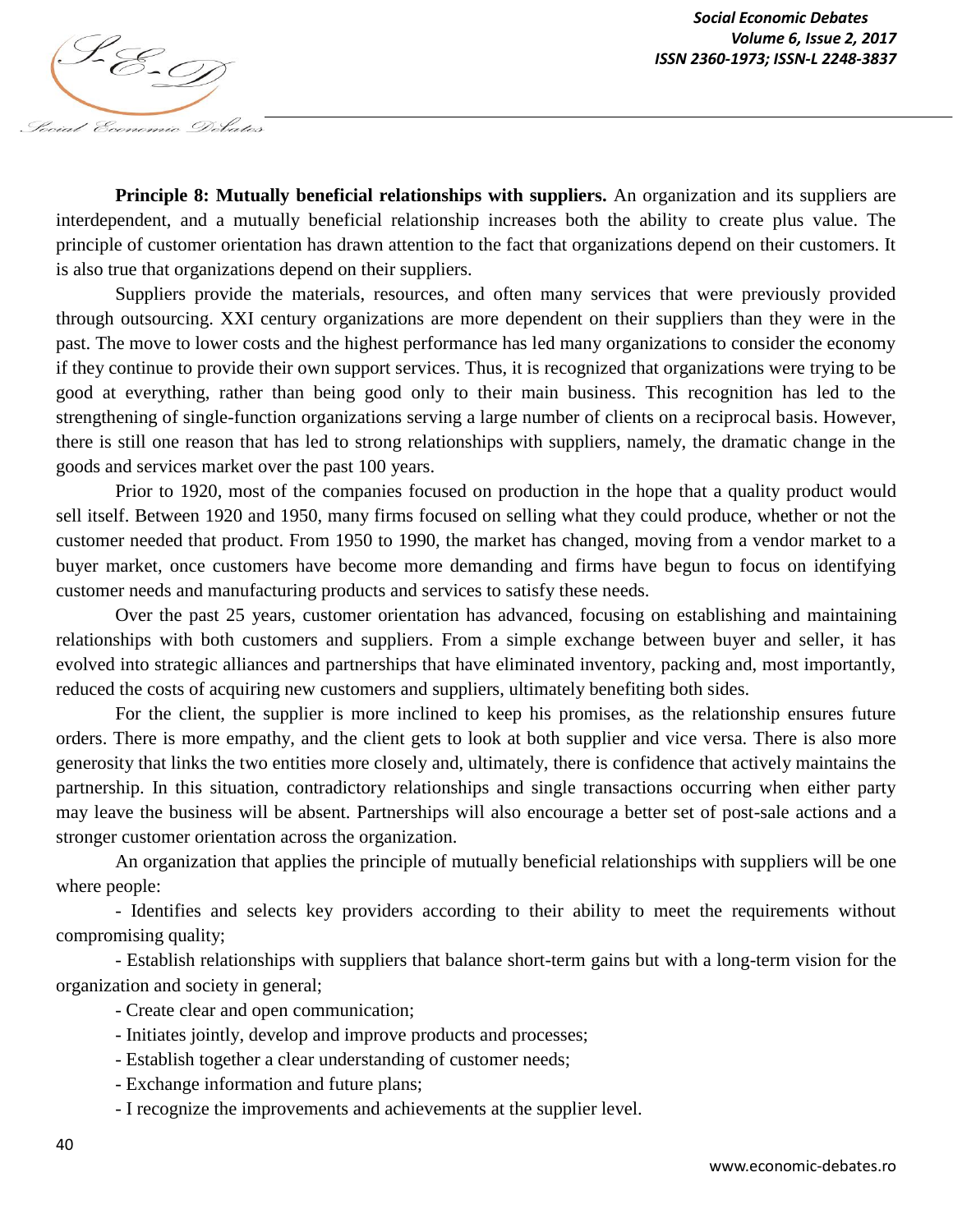



**Principle 8: Mutually beneficial relationships with suppliers.** An organization and its suppliers are interdependent, and a mutually beneficial relationship increases both the ability to create plus value. The principle of customer orientation has drawn attention to the fact that organizations depend on their customers. It is also true that organizations depend on their suppliers.

Suppliers provide the materials, resources, and often many services that were previously provided through outsourcing. XXI century organizations are more dependent on their suppliers than they were in the past. The move to lower costs and the highest performance has led many organizations to consider the economy if they continue to provide their own support services. Thus, it is recognized that organizations were trying to be good at everything, rather than being good only to their main business. This recognition has led to the strengthening of single-function organizations serving a large number of clients on a reciprocal basis. However, there is still one reason that has led to strong relationships with suppliers, namely, the dramatic change in the goods and services market over the past 100 years.

Prior to 1920, most of the companies focused on production in the hope that a quality product would sell itself. Between 1920 and 1950, many firms focused on selling what they could produce, whether or not the customer needed that product. From 1950 to 1990, the market has changed, moving from a vendor market to a buyer market, once customers have become more demanding and firms have begun to focus on identifying customer needs and manufacturing products and services to satisfy these needs.

Over the past 25 years, customer orientation has advanced, focusing on establishing and maintaining relationships with both customers and suppliers. From a simple exchange between buyer and seller, it has evolved into strategic alliances and partnerships that have eliminated inventory, packing and, most importantly, reduced the costs of acquiring new customers and suppliers, ultimately benefiting both sides.

For the client, the supplier is more inclined to keep his promises, as the relationship ensures future orders. There is more empathy, and the client gets to look at both supplier and vice versa. There is also more generosity that links the two entities more closely and, ultimately, there is confidence that actively maintains the partnership. In this situation, contradictory relationships and single transactions occurring when either party may leave the business will be absent. Partnerships will also encourage a better set of post-sale actions and a stronger customer orientation across the organization.

An organization that applies the principle of mutually beneficial relationships with suppliers will be one where people:

- Identifies and selects key providers according to their ability to meet the requirements without compromising quality;

- Establish relationships with suppliers that balance short-term gains but with a long-term vision for the organization and society in general;

- Create clear and open communication;

- Initiates jointly, develop and improve products and processes;
- Establish together a clear understanding of customer needs;
- Exchange information and future plans;

- I recognize the improvements and achievements at the supplier level.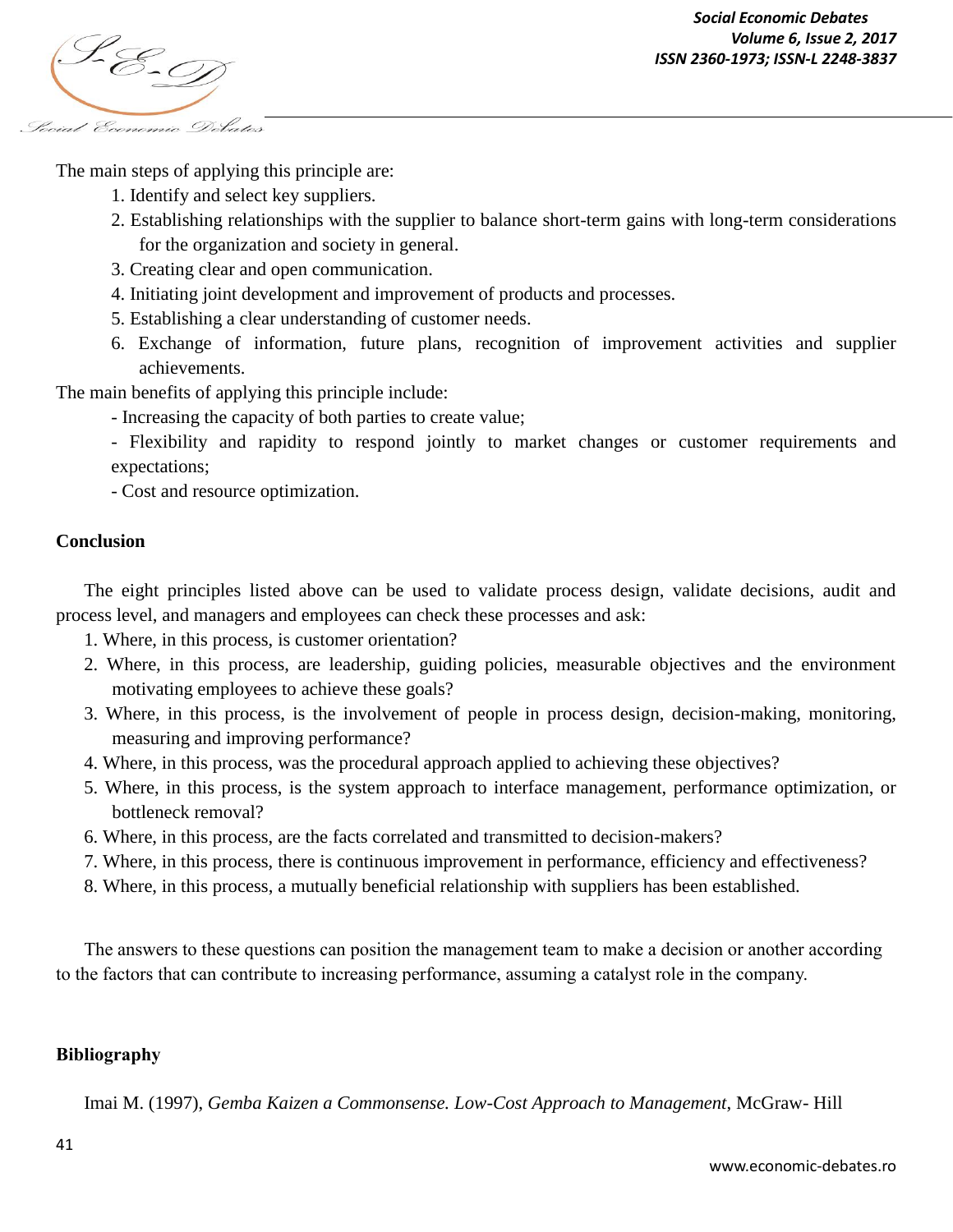

The main steps of applying this principle are:

- 1. Identify and select key suppliers.
- 2. Establishing relationships with the supplier to balance short-term gains with long-term considerations for the organization and society in general.
- 3. Creating clear and open communication.
- 4. Initiating joint development and improvement of products and processes.
- 5. Establishing a clear understanding of customer needs.
- 6. Exchange of information, future plans, recognition of improvement activities and supplier achievements.

The main benefits of applying this principle include:

- Increasing the capacity of both parties to create value;
- Flexibility and rapidity to respond jointly to market changes or customer requirements and expectations;

- Cost and resource optimization.

### **Conclusion**

The eight principles listed above can be used to validate process design, validate decisions, audit and process level, and managers and employees can check these processes and ask:

- 1. Where, in this process, is customer orientation?
- 2. Where, in this process, are leadership, guiding policies, measurable objectives and the environment motivating employees to achieve these goals?
- 3. Where, in this process, is the involvement of people in process design, decision-making, monitoring, measuring and improving performance?
- 4. Where, in this process, was the procedural approach applied to achieving these objectives?
- 5. Where, in this process, is the system approach to interface management, performance optimization, or bottleneck removal?
- 6. Where, in this process, are the facts correlated and transmitted to decision-makers?
- 7. Where, in this process, there is continuous improvement in performance, efficiency and effectiveness?
- 8. Where, in this process, a mutually beneficial relationship with suppliers has been established.

The answers to these questions can position the management team to make a decision or another according to the factors that can contribute to increasing performance, assuming a catalyst role in the company.

## **Bibliography**

Imai M. (1997), *Gemba Kaizen a Commonsense. Low-Cost Approach to Management*, McGraw- Hill